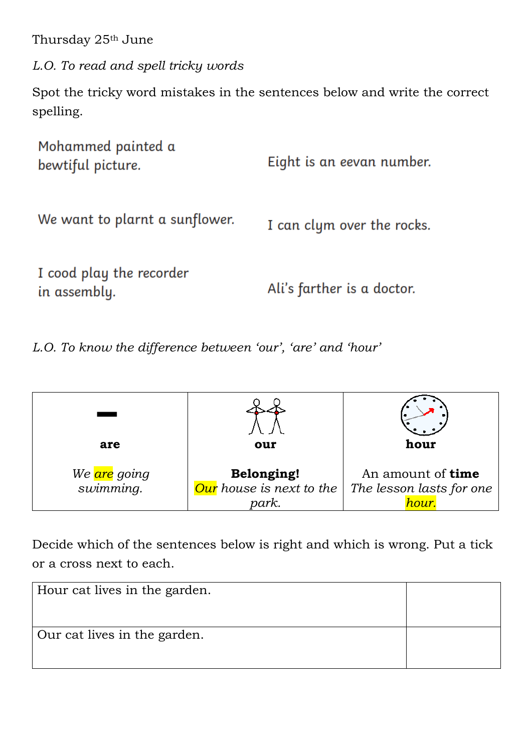Thursday 25th June

*L.O. To read and spell tricky words*

Spot the tricky word mistakes in the sentences below and write the correct spelling.

| Mohammed painted a<br>bewtiful picture.  | Eight is an eevan number.  |
|------------------------------------------|----------------------------|
| We want to plarnt a sunflower.           | I can clym over the rocks. |
| I cood play the recorder<br>in assembly. | Ali's farther is a doctor. |

*L.O. To know the difference between 'our', 'are' and 'hour'*

| are                                    | our                                                    | hour                                                          |  |
|----------------------------------------|--------------------------------------------------------|---------------------------------------------------------------|--|
| We <mark>are</mark> going<br>swimming. | <b>Belonging!</b><br>Our house is next to the<br>park. | An amount of <b>time</b><br>The lesson lasts for one<br>hour. |  |

Decide which of the sentences below is right and which is wrong. Put a tick or a cross next to each.

| Hour cat lives in the garden. |  |
|-------------------------------|--|
| Our cat lives in the garden.  |  |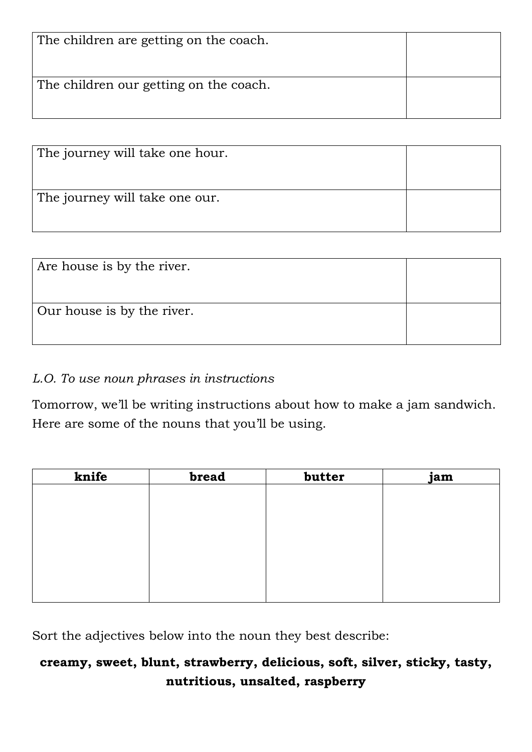| The children are getting on the coach. |  |
|----------------------------------------|--|
| The children our getting on the coach. |  |

| The journey will take one hour. |  |
|---------------------------------|--|
| The journey will take one our.  |  |

| Are house is by the river. |  |
|----------------------------|--|
| Our house is by the river. |  |

## *L.O. To use noun phrases in instructions*

Tomorrow, we'll be writing instructions about how to make a jam sandwich. Here are some of the nouns that you'll be using.

| knife | bread | butter | jam |
|-------|-------|--------|-----|
|       |       |        |     |
|       |       |        |     |
|       |       |        |     |
|       |       |        |     |
|       |       |        |     |
|       |       |        |     |
|       |       |        |     |
|       |       |        |     |

Sort the adjectives below into the noun they best describe:

## **creamy, sweet, blunt, strawberry, delicious, soft, silver, sticky, tasty, nutritious, unsalted, raspberry**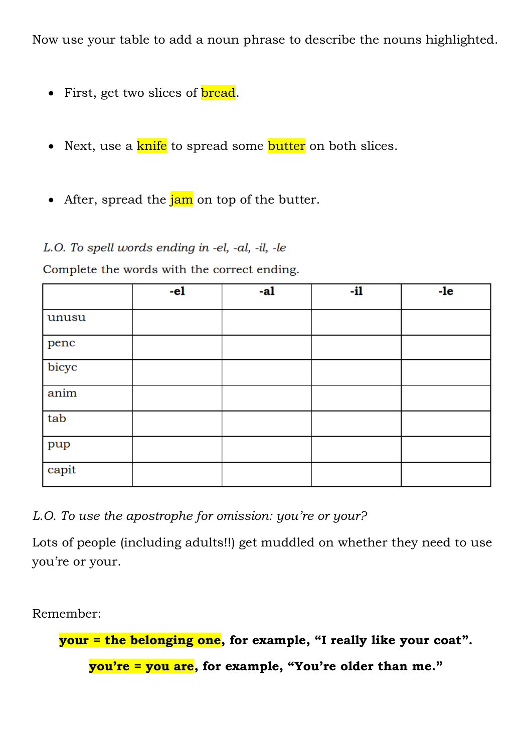Now use your table to add a noun phrase to describe the nouns highlighted.

- First, get two slices of **bread**.
- Next, use a knife to spread some butter on both slices.
- After, spread the  $\frac{7}{10}$  on top of the butter.

## L.O. To spell words ending in -el, -al, -il, -le

Complete the words with the correct ending.

|       | $-e1$ | -al | -il | $-Ie$ |
|-------|-------|-----|-----|-------|
| unusu |       |     |     |       |
| penc  |       |     |     |       |
| bicyc |       |     |     |       |
| anim  |       |     |     |       |
| tab   |       |     |     |       |
| pup   |       |     |     |       |
| capit |       |     |     |       |

*L.O. To use the apostrophe for omission: you're or your?*

Lots of people (including adults!!) get muddled on whether they need to use you're or your.

Remember:

**your = the belonging one, for example, "I really like your coat".**

**you're = you are, for example, "You're older than me."**